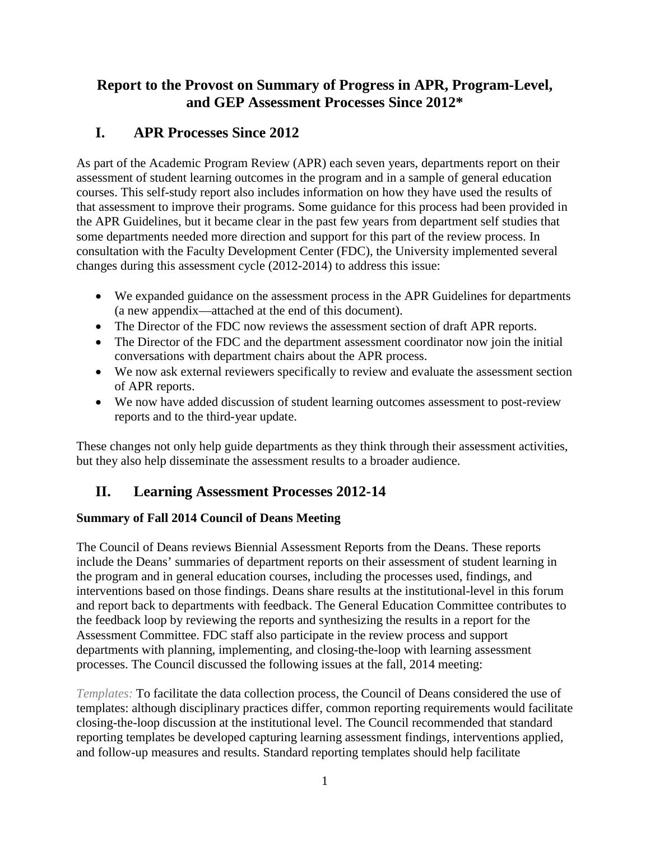## **Report to the Provost on Summary of Progress in APR, Program-Level, and GEP Assessment Processes Since 2012\***

## **I. APR Processes Since 2012**

As part of the Academic Program Review (APR) each seven years, departments report on their assessment of student learning outcomes in the program and in a sample of general education courses. This self-study report also includes information on how they have used the results of that assessment to improve their programs. Some guidance for this process had been provided in the APR Guidelines, but it became clear in the past few years from department self studies that some departments needed more direction and support for this part of the review process. In consultation with the Faculty Development Center (FDC), the University implemented several changes during this assessment cycle (2012-2014) to address this issue:

- We expanded guidance on the assessment process in the APR Guidelines for departments (a new appendix—attached at the end of this document).
- The Director of the FDC now reviews the assessment section of draft APR reports.
- The Director of the FDC and the department assessment coordinator now join the initial conversations with department chairs about the APR process.
- We now ask external reviewers specifically to review and evaluate the assessment section of APR reports.
- We now have added discussion of student learning outcomes assessment to post-review reports and to the third-year update.

These changes not only help guide departments as they think through their assessment activities, but they also help disseminate the assessment results to a broader audience.

# **II. Learning Assessment Processes 2012-14**

## **Summary of Fall 2014 Council of Deans Meeting**

The Council of Deans reviews Biennial Assessment Reports from the Deans. These reports include the Deans' summaries of department reports on their assessment of student learning in the program and in general education courses, including the processes used, findings, and interventions based on those findings. Deans share results at the institutional-level in this forum and report back to departments with feedback. The General Education Committee contributes to the feedback loop by reviewing the reports and synthesizing the results in a report for the Assessment Committee. FDC staff also participate in the review process and support departments with planning, implementing, and closing-the-loop with learning assessment processes. The Council discussed the following issues at the fall, 2014 meeting:

*Templates:* To facilitate the data collection process, the Council of Deans considered the use of templates: although disciplinary practices differ, common reporting requirements would facilitate closing-the-loop discussion at the institutional level. The Council recommended that standard reporting templates be developed capturing learning assessment findings, interventions applied, and follow-up measures and results. Standard reporting templates should help facilitate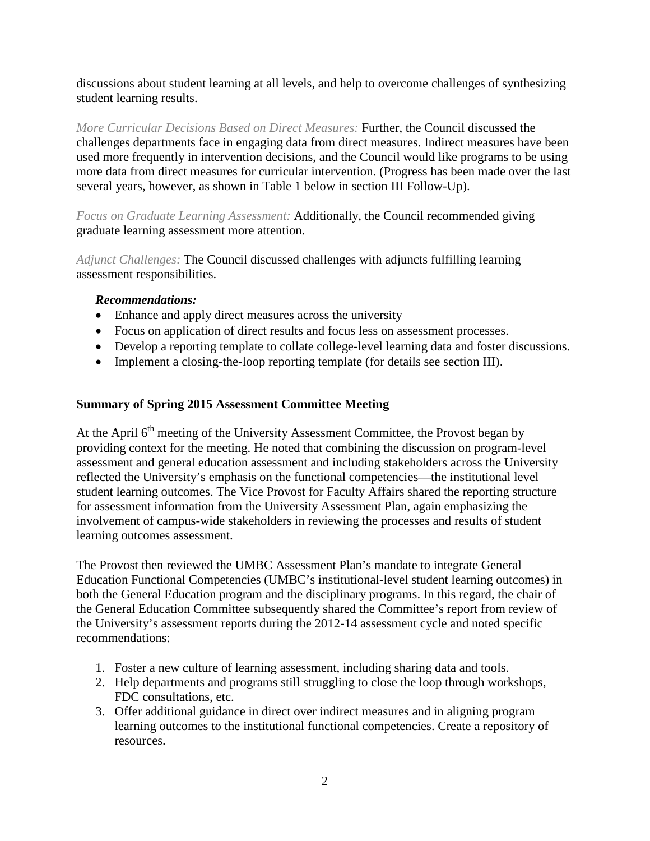discussions about student learning at all levels, and help to overcome challenges of synthesizing student learning results.

*More Curricular Decisions Based on Direct Measures:* Further, the Council discussed the challenges departments face in engaging data from direct measures. Indirect measures have been used more frequently in intervention decisions, and the Council would like programs to be using more data from direct measures for curricular intervention. (Progress has been made over the last several years, however, as shown in Table 1 below in section III Follow-Up).

*Focus on Graduate Learning Assessment:* Additionally, the Council recommended giving graduate learning assessment more attention.

*Adjunct Challenges:* The Council discussed challenges with adjuncts fulfilling learning assessment responsibilities.

### *Recommendations:*

- Enhance and apply direct measures across the university
- Focus on application of direct results and focus less on assessment processes.
- Develop a reporting template to collate college-level learning data and foster discussions.
- Implement a closing-the-loop reporting template (for details see section III).

### **Summary of Spring 2015 Assessment Committee Meeting**

At the April  $6<sup>th</sup>$  meeting of the University Assessment Committee, the Provost began by providing context for the meeting. He noted that combining the discussion on program-level assessment and general education assessment and including stakeholders across the University reflected the University's emphasis on the functional competencies—the institutional level student learning outcomes. The Vice Provost for Faculty Affairs shared the reporting structure for assessment information from the University Assessment Plan, again emphasizing the involvement of campus-wide stakeholders in reviewing the processes and results of student learning outcomes assessment.

The Provost then reviewed the UMBC Assessment Plan's mandate to integrate General Education Functional Competencies (UMBC's institutional-level student learning outcomes) in both the General Education program and the disciplinary programs. In this regard, the chair of the General Education Committee subsequently shared the Committee's report from review of the University's assessment reports during the 2012-14 assessment cycle and noted specific recommendations:

- 1. Foster a new culture of learning assessment, including sharing data and tools.
- 2. Help departments and programs still struggling to close the loop through workshops, FDC consultations, etc.
- 3. Offer additional guidance in direct over indirect measures and in aligning program learning outcomes to the institutional functional competencies. Create a repository of resources.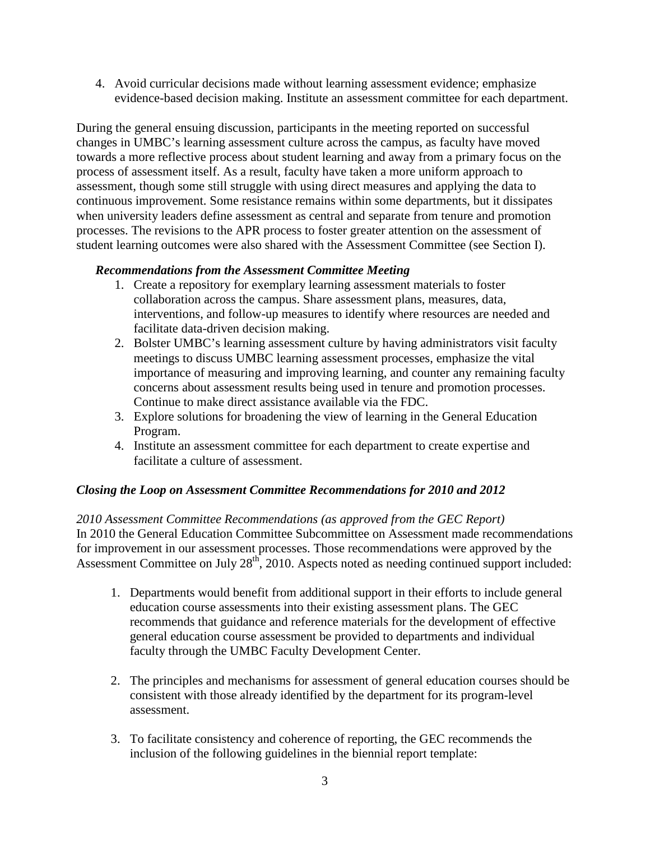4. Avoid curricular decisions made without learning assessment evidence; emphasize evidence-based decision making. Institute an assessment committee for each department.

During the general ensuing discussion, participants in the meeting reported on successful changes in UMBC's learning assessment culture across the campus, as faculty have moved towards a more reflective process about student learning and away from a primary focus on the process of assessment itself. As a result, faculty have taken a more uniform approach to assessment, though some still struggle with using direct measures and applying the data to continuous improvement. Some resistance remains within some departments, but it dissipates when university leaders define assessment as central and separate from tenure and promotion processes. The revisions to the APR process to foster greater attention on the assessment of student learning outcomes were also shared with the Assessment Committee (see Section I).

### *Recommendations from the Assessment Committee Meeting*

- 1. Create a repository for exemplary learning assessment materials to foster collaboration across the campus. Share assessment plans, measures, data, interventions, and follow-up measures to identify where resources are needed and facilitate data-driven decision making.
- 2. Bolster UMBC's learning assessment culture by having administrators visit faculty meetings to discuss UMBC learning assessment processes, emphasize the vital importance of measuring and improving learning, and counter any remaining faculty concerns about assessment results being used in tenure and promotion processes. Continue to make direct assistance available via the FDC.
- 3. Explore solutions for broadening the view of learning in the General Education Program.
- 4. Institute an assessment committee for each department to create expertise and facilitate a culture of assessment.

#### *Closing the Loop on Assessment Committee Recommendations for 2010 and 2012*

*2010 Assessment Committee Recommendations (as approved from the GEC Report)* In 2010 the General Education Committee Subcommittee on Assessment made recommendations for improvement in our assessment processes. Those recommendations were approved by the Assessment Committee on July 28<sup>th</sup>, 2010. Aspects noted as needing continued support included:

- 1. Departments would benefit from additional support in their efforts to include general education course assessments into their existing assessment plans. The GEC recommends that guidance and reference materials for the development of effective general education course assessment be provided to departments and individual faculty through the UMBC Faculty Development Center.
- 2. The principles and mechanisms for assessment of general education courses should be consistent with those already identified by the department for its program-level assessment.
- 3. To facilitate consistency and coherence of reporting, the GEC recommends the inclusion of the following guidelines in the biennial report template: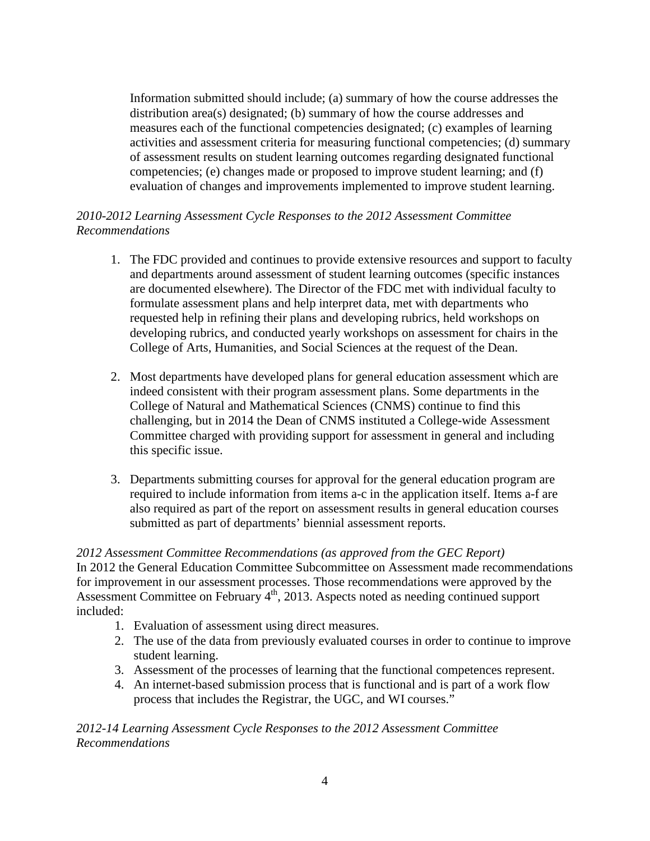Information submitted should include; (a) summary of how the course addresses the distribution area(s) designated; (b) summary of how the course addresses and measures each of the functional competencies designated; (c) examples of learning activities and assessment criteria for measuring functional competencies; (d) summary of assessment results on student learning outcomes regarding designated functional competencies; (e) changes made or proposed to improve student learning; and (f) evaluation of changes and improvements implemented to improve student learning.

### *2010-2012 Learning Assessment Cycle Responses to the 2012 Assessment Committee Recommendations*

- 1. The FDC provided and continues to provide extensive resources and support to faculty and departments around assessment of student learning outcomes (specific instances are documented elsewhere). The Director of the FDC met with individual faculty to formulate assessment plans and help interpret data, met with departments who requested help in refining their plans and developing rubrics, held workshops on developing rubrics, and conducted yearly workshops on assessment for chairs in the College of Arts, Humanities, and Social Sciences at the request of the Dean.
- 2. Most departments have developed plans for general education assessment which are indeed consistent with their program assessment plans. Some departments in the College of Natural and Mathematical Sciences (CNMS) continue to find this challenging, but in 2014 the Dean of CNMS instituted a College-wide Assessment Committee charged with providing support for assessment in general and including this specific issue.
- 3. Departments submitting courses for approval for the general education program are required to include information from items a-c in the application itself. Items a-f are also required as part of the report on assessment results in general education courses submitted as part of departments' biennial assessment reports.

#### *2012 Assessment Committee Recommendations (as approved from the GEC Report)*

In 2012 the General Education Committee Subcommittee on Assessment made recommendations for improvement in our assessment processes. Those recommendations were approved by the Assessment Committee on February 4<sup>th</sup>, 2013. Aspects noted as needing continued support included:

- 1. Evaluation of assessment using direct measures.
- 2. The use of the data from previously evaluated courses in order to continue to improve student learning.
- 3. Assessment of the processes of learning that the functional competences represent.
- 4. An internet-based submission process that is functional and is part of a work flow process that includes the Registrar, the UGC, and WI courses."

*2012-14 Learning Assessment Cycle Responses to the 2012 Assessment Committee Recommendations*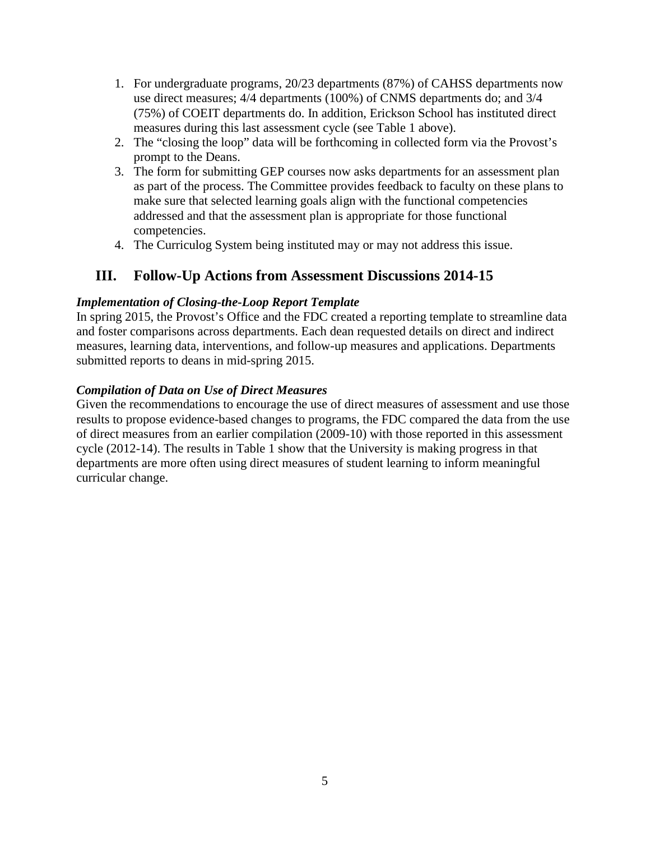- 1. For undergraduate programs, 20/23 departments (87%) of CAHSS departments now use direct measures; 4/4 departments (100%) of CNMS departments do; and 3/4 (75%) of COEIT departments do. In addition, Erickson School has instituted direct measures during this last assessment cycle (see Table 1 above).
- 2. The "closing the loop" data will be forthcoming in collected form via the Provost's prompt to the Deans.
- 3. The form for submitting GEP courses now asks departments for an assessment plan as part of the process. The Committee provides feedback to faculty on these plans to make sure that selected learning goals align with the functional competencies addressed and that the assessment plan is appropriate for those functional competencies.
- 4. The Curriculog System being instituted may or may not address this issue.

# **III. Follow-Up Actions from Assessment Discussions 2014-15**

### *Implementation of Closing-the-Loop Report Template*

In spring 2015, the Provost's Office and the FDC created a reporting template to streamline data and foster comparisons across departments. Each dean requested details on direct and indirect measures, learning data, interventions, and follow-up measures and applications. Departments submitted reports to deans in mid-spring 2015.

## *Compilation of Data on Use of Direct Measures*

Given the recommendations to encourage the use of direct measures of assessment and use those results to propose evidence-based changes to programs, the FDC compared the data from the use of direct measures from an earlier compilation (2009-10) with those reported in this assessment cycle (2012-14). The results in Table 1 show that the University is making progress in that departments are more often using direct measures of student learning to inform meaningful curricular change.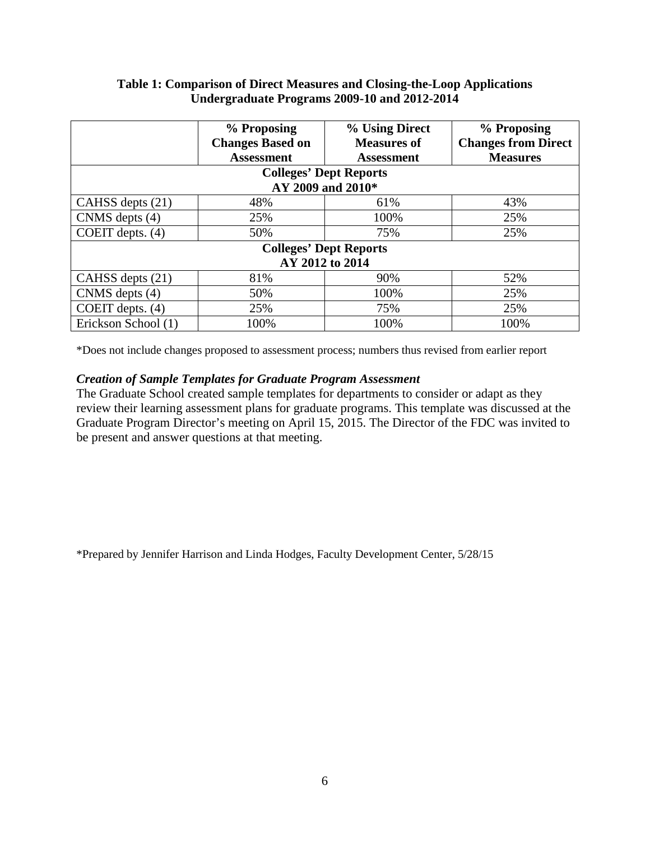#### **Table 1: Comparison of Direct Measures and Closing-the-Loop Applications Undergraduate Programs 2009-10 and 2012-2014**

|                               | % Proposing             | % Using Direct     | % Proposing                |
|-------------------------------|-------------------------|--------------------|----------------------------|
|                               | <b>Changes Based on</b> | <b>Measures of</b> | <b>Changes from Direct</b> |
|                               | <b>Assessment</b>       | <b>Assessment</b>  | <b>Measures</b>            |
| <b>Colleges' Dept Reports</b> |                         |                    |                            |
| AY 2009 and 2010*             |                         |                    |                            |
| CAHSS depts (21)              | 48%                     | 61%                | 43%                        |
| CNMS depts (4)                | 25%                     | 100%               | 25%                        |
| COEIT depts. $(4)$            | 50%                     | 75%                | 25%                        |
| <b>Colleges' Dept Reports</b> |                         |                    |                            |
| AY 2012 to 2014               |                         |                    |                            |
| CAHSS depts (21)              | 81%                     | 90%                | 52%                        |
| CNMS depts (4)                | 50%                     | 100%               | 25%                        |
| COEIT depts. (4)              | 25%                     | 75%                | 25%                        |
| Erickson School (1)           | 100%                    | 100%               | 100%                       |

\*Does not include changes proposed to assessment process; numbers thus revised from earlier report

#### *Creation of Sample Templates for Graduate Program Assessment*

The Graduate School created sample templates for departments to consider or adapt as they review their learning assessment plans for graduate programs. This template was discussed at the Graduate Program Director's meeting on April 15, 2015. The Director of the FDC was invited to be present and answer questions at that meeting.

\*Prepared by Jennifer Harrison and Linda Hodges, Faculty Development Center, 5/28/15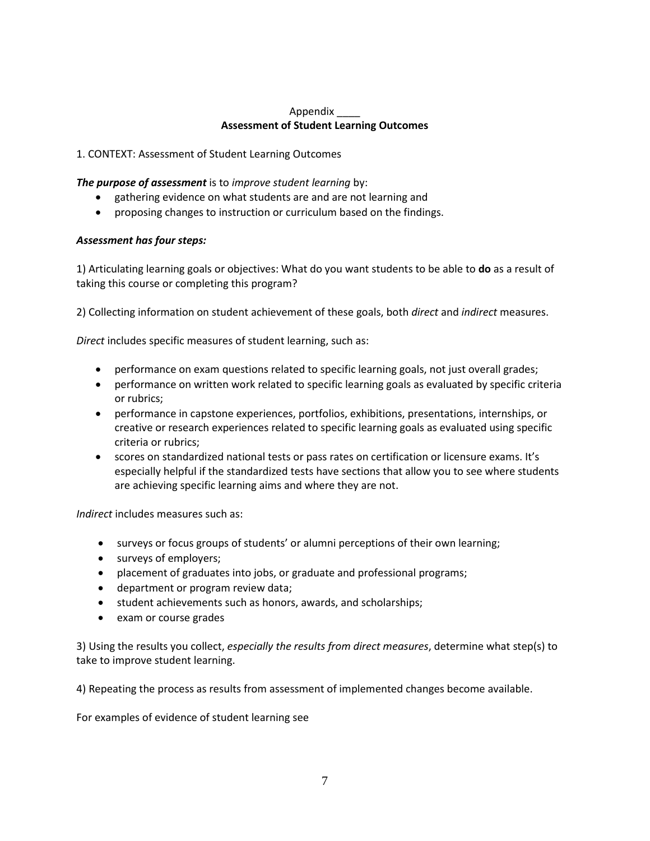#### Appendix \_\_\_\_ **Assessment of Student Learning Outcomes**

1. CONTEXT: Assessment of Student Learning Outcomes

*The purpose of assessment* is to *improve student learning* by:

- gathering evidence on what students are and are not learning and
- proposing changes to instruction or curriculum based on the findings.

#### *Assessment has four steps:*

1) Articulating learning goals or objectives: What do you want students to be able to **do** as a result of taking this course or completing this program?

2) Collecting information on student achievement of these goals, both *direct* and *indirect* measures.

*Direct* includes specific measures of student learning, such as:

- performance on exam questions related to specific learning goals, not just overall grades;
- performance on written work related to specific learning goals as evaluated by specific criteria or rubrics;
- performance in capstone experiences, portfolios, exhibitions, presentations, internships, or creative or research experiences related to specific learning goals as evaluated using specific criteria or rubrics;
- scores on standardized national tests or pass rates on certification or licensure exams. It's especially helpful if the standardized tests have sections that allow you to see where students are achieving specific learning aims and where they are not.

*Indirect* includes measures such as:

- surveys or focus groups of students' or alumni perceptions of their own learning;
- surveys of employers;
- placement of graduates into jobs, or graduate and professional programs;
- department or program review data;
- student achievements such as honors, awards, and scholarships;
- exam or course grades

3) Using the results you collect, *especially the results from direct measures*, determine what step(s) to take to improve student learning.

4) Repeating the process as results from assessment of implemented changes become available.

For examples of evidence of student learning see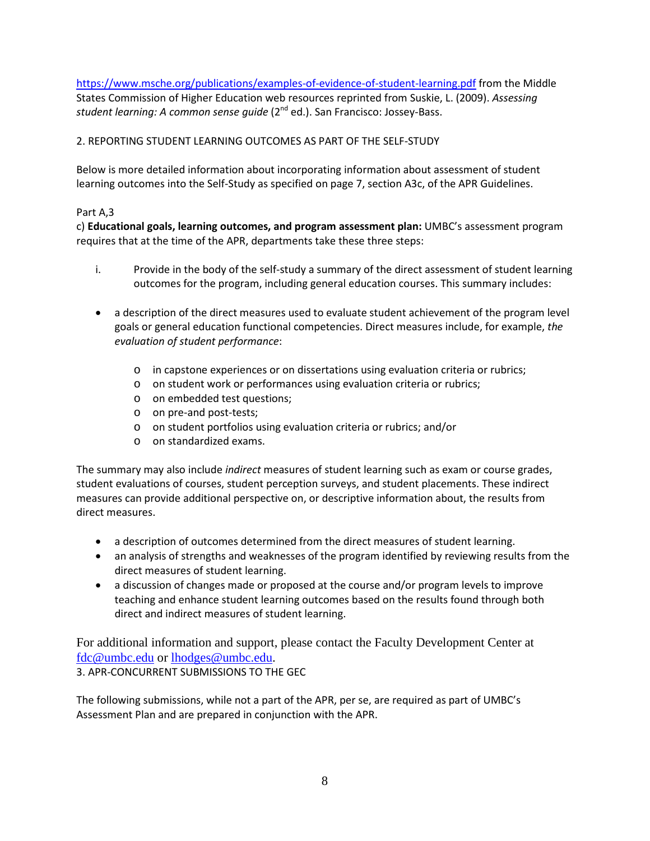<https://www.msche.org/publications/examples-of-evidence-of-student-learning.pdf> from the Middle States Commission of Higher Education web resources reprinted from Suskie, L. (2009). *Assessing student learning: A common sense guide* (2nd ed.). San Francisco: Jossey-Bass.

2. REPORTING STUDENT LEARNING OUTCOMES AS PART OF THE SELF-STUDY

Below is more detailed information about incorporating information about assessment of student learning outcomes into the Self-Study as specified on page 7, section A3c, of the APR Guidelines.

#### Part A,3

c) **Educational goals, learning outcomes, and program assessment plan:** UMBC's assessment program requires that at the time of the APR, departments take these three steps:

- i. Provide in the body of the self-study a summary of the direct assessment of student learning outcomes for the program, including general education courses. This summary includes:
- a description of the direct measures used to evaluate student achievement of the program level goals or general education functional competencies. Direct measures include, for example, *the evaluation of student performance*:
	- o in capstone experiences or on dissertations using evaluation criteria or rubrics;
	- o on student work or performances using evaluation criteria or rubrics;
	- o on embedded test questions;
	- o on pre-and post-tests;
	- o on student portfolios using evaluation criteria or rubrics; and/or
	- o on standardized exams.

The summary may also include *indirect* measures of student learning such as exam or course grades, student evaluations of courses, student perception surveys, and student placements. These indirect measures can provide additional perspective on, or descriptive information about, the results from direct measures.

- a description of outcomes determined from the direct measures of student learning.
- an analysis of strengths and weaknesses of the program identified by reviewing results from the direct measures of student learning.
- a discussion of changes made or proposed at the course and/or program levels to improve teaching and enhance student learning outcomes based on the results found through both direct and indirect measures of student learning.

For additional information and support, please contact the Faculty Development Center at [fdc@umbc.edu](mailto:fdc@umbc.edu) or [lhodges@umbc.edu.](mailto:lhodges@umbc.edu) 3. APR-CONCURRENT SUBMISSIONS TO THE GEC

The following submissions, while not a part of the APR, per se, are required as part of UMBC's Assessment Plan and are prepared in conjunction with the APR.